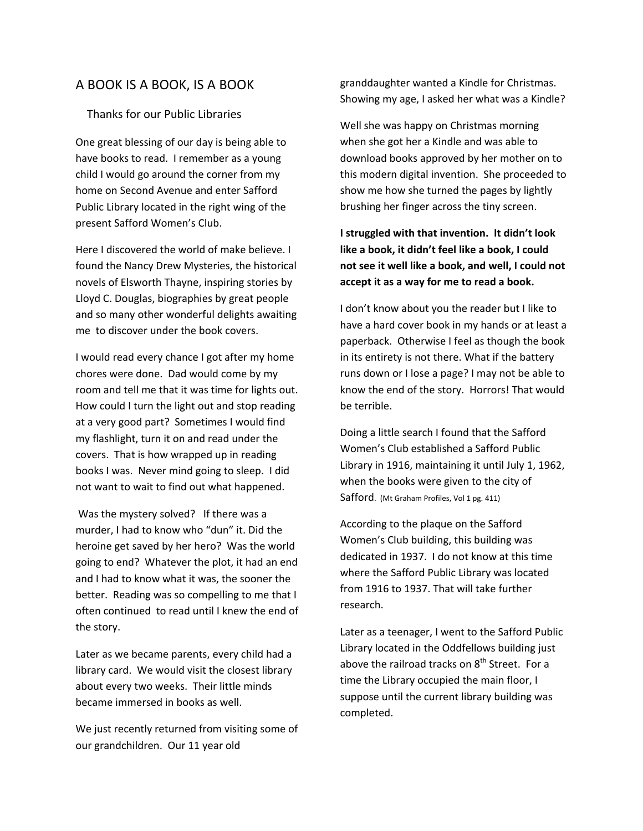## A BOOK IS A BOOK, IS A BOOK

## Thanks for our Public Libraries

One great blessing of our day is being able to have books to read. I remember as a young child I would go around the corner from my home on Second Avenue and enter Safford Public Library located in the right wing of the present Safford Women's Club.

Here I discovered the world of make believe. I found the Nancy Drew Mysteries, the historical novels of Elsworth Thayne, inspiring stories by Lloyd C. Douglas, biographies by great people and so many other wonderful delights awaiting me to discover under the book covers.

I would read every chance I got after my home chores were done. Dad would come by my room and tell me that it was time for lights out. How could I turn the light out and stop reading at a very good part? Sometimes I would find my flashlight, turn it on and read under the covers. That is how wrapped up in reading books I was. Never mind going to sleep. I did not want to wait to find out what happened.

Was the mystery solved? If there was a murder, I had to know who "dun" it. Did the heroine get saved by her hero? Was the world going to end? Whatever the plot, it had an end and I had to know what it was, the sooner the better. Reading was so compelling to me that I often continued to read until I knew the end of the story.

Later as we became parents, every child had a library card. We would visit the closest library about every two weeks. Their little minds became immersed in books as well.

We just recently returned from visiting some of our grandchildren. Our 11 year old

granddaughter wanted a Kindle for Christmas. Showing my age, I asked her what was a Kindle?

Well she was happy on Christmas morning when she got her a Kindle and was able to download books approved by her mother on to this modern digital invention. She proceeded to show me how she turned the pages by lightly brushing her finger across the tiny screen.

**I struggled with that invention. It didn't look like a book, it didn't feel like a book, I could not see it well like a book, and well, I could not accept it as a way for me to read a book.** 

I don't know about you the reader but I like to have a hard cover book in my hands or at least a paperback. Otherwise I feel as though the book in its entirety is not there. What if the battery runs down or I lose a page? I may not be able to know the end of the story. Horrors! That would be terrible.

Doing a little search I found that the Safford Women's Club established a Safford Public Library in 1916, maintaining it until July 1, 1962, when the books were given to the city of Safford. (Mt Graham Profiles, Vol 1 pg. 411)

According to the plaque on the Safford Women's Club building, this building was dedicated in 1937. I do not know at this time where the Safford Public Library was located from 1916 to 1937. That will take further research.

Later as a teenager, I went to the Safford Public Library located in the Oddfellows building just above the railroad tracks on  $8<sup>th</sup>$  Street. For a time the Library occupied the main floor, I suppose until the current library building was completed.